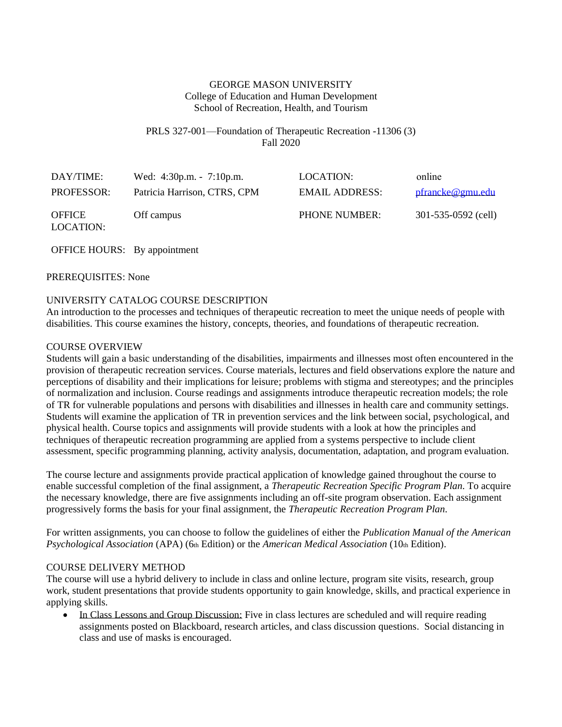## GEORGE MASON UNIVERSITY College of Education and Human Development School of Recreation, Health, and Tourism

### PRLS 327-001—Foundation of Therapeutic Recreation -11306 (3) Fall 2020

| DAY/TIME:                  | Wed: $4:30p.m. - 7:10p.m.$   | LOCATION:             | online              |
|----------------------------|------------------------------|-----------------------|---------------------|
| <b>PROFESSOR:</b>          | Patricia Harrison, CTRS, CPM | <b>EMAIL ADDRESS:</b> | pfrancke@gmu.edu    |
| <b>OFFICE</b><br>LOCATION: | Off campus                   | <b>PHONE NUMBER:</b>  | 301-535-0592 (cell) |

OFFICE HOURS: By appointment

#### PREREQUISITES: None

### UNIVERSITY CATALOG COURSE DESCRIPTION

An introduction to the processes and techniques of therapeutic recreation to meet the unique needs of people with disabilities. This course examines the history, concepts, theories, and foundations of therapeutic recreation.

#### COURSE OVERVIEW

Students will gain a basic understanding of the disabilities, impairments and illnesses most often encountered in the provision of therapeutic recreation services. Course materials, lectures and field observations explore the nature and perceptions of disability and their implications for leisure; problems with stigma and stereotypes; and the principles of normalization and inclusion. Course readings and assignments introduce therapeutic recreation models; the role of TR for vulnerable populations and persons with disabilities and illnesses in health care and community settings. Students will examine the application of TR in prevention services and the link between social, psychological, and physical health. Course topics and assignments will provide students with a look at how the principles and techniques of therapeutic recreation programming are applied from a systems perspective to include client assessment, specific programming planning, activity analysis, documentation, adaptation, and program evaluation.

The course lecture and assignments provide practical application of knowledge gained throughout the course to enable successful completion of the final assignment, a *Therapeutic Recreation Specific Program Plan*. To acquire the necessary knowledge, there are five assignments including an off-site program observation. Each assignment progressively forms the basis for your final assignment, the *Therapeutic Recreation Program Plan*.

For written assignments, you can choose to follow the guidelines of either the *Publication Manual of the American Psychological Association* (APA) (6th Edition) or the *American Medical Association* (10th Edition).

### COURSE DELIVERY METHOD

The course will use a hybrid delivery to include in class and online lecture, program site visits, research, group work, student presentations that provide students opportunity to gain knowledge, skills, and practical experience in applying skills.

• In Class Lessons and Group Discussion: Five in class lectures are scheduled and will require reading assignments posted on Blackboard, research articles, and class discussion questions. Social distancing in class and use of masks is encouraged.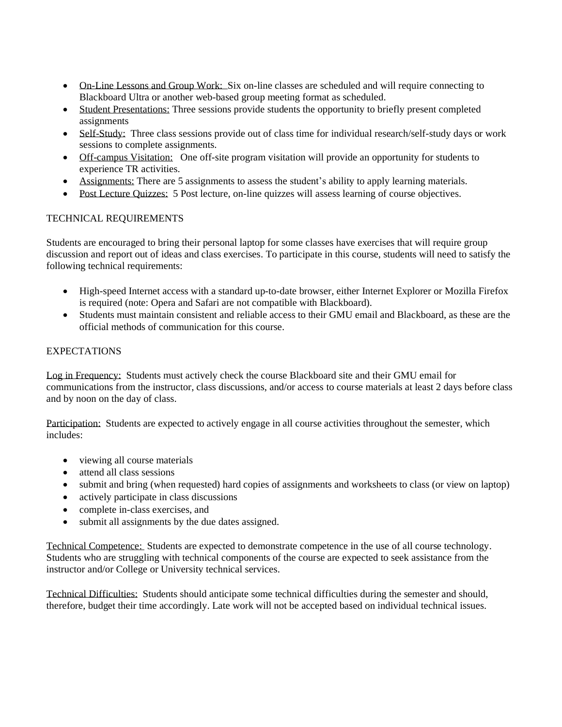- On-Line Lessons and Group Work: Six on-line classes are scheduled and will require connecting to Blackboard Ultra or another web-based group meeting format as scheduled.
- Student Presentations: Three sessions provide students the opportunity to briefly present completed assignments
- Self-Study: Three class sessions provide out of class time for individual research/self-study days or work sessions to complete assignments.
- Off-campus Visitation: One off-site program visitation will provide an opportunity for students to experience TR activities.
- Assignments: There are 5 assignments to assess the student's ability to apply learning materials.
- Post Lecture Quizzes: 5 Post lecture, on-line quizzes will assess learning of course objectives.

# TECHNICAL REQUIREMENTS

Students are encouraged to bring their personal laptop for some classes have exercises that will require group discussion and report out of ideas and class exercises. To participate in this course, students will need to satisfy the following technical requirements:

- High-speed Internet access with a standard up-to-date browser, either Internet Explorer or Mozilla Firefox is required (note: Opera and Safari are not compatible with Blackboard).
- Students must maintain consistent and reliable access to their GMU email and Blackboard, as these are the official methods of communication for this course.

# **EXPECTATIONS**

Log in Frequency: Students must actively check the course Blackboard site and their GMU email for communications from the instructor, class discussions, and/or access to course materials at least 2 days before class and by noon on the day of class.

Participation: Students are expected to actively engage in all course activities throughout the semester, which includes:

- viewing all course materials
- attend all class sessions
- submit and bring (when requested) hard copies of assignments and worksheets to class (or view on laptop)
- actively participate in class discussions
- complete in-class exercises, and
- submit all assignments by the due dates assigned.

Technical Competence: Students are expected to demonstrate competence in the use of all course technology. Students who are struggling with technical components of the course are expected to seek assistance from the instructor and/or College or University technical services.

Technical Difficulties: Students should anticipate some technical difficulties during the semester and should, therefore, budget their time accordingly. Late work will not be accepted based on individual technical issues.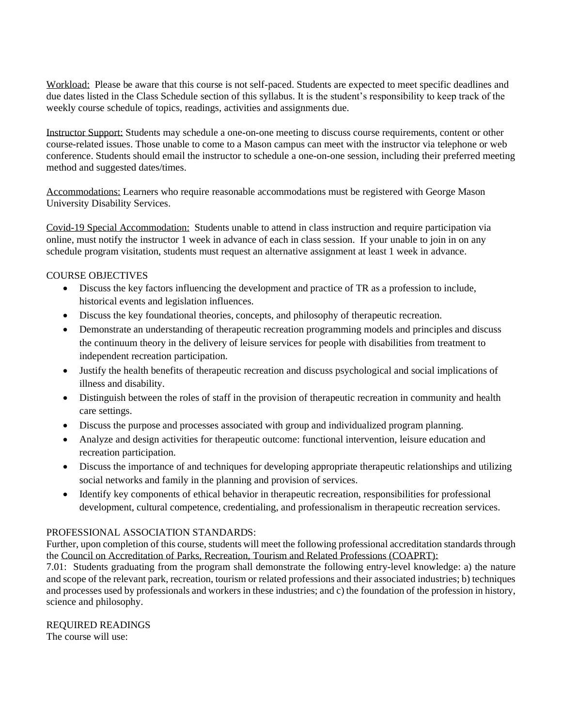Workload: Please be aware that this course is not self-paced. Students are expected to meet specific deadlines and due dates listed in the Class Schedule section of this syllabus. It is the student's responsibility to keep track of the weekly course schedule of topics, readings, activities and assignments due.

Instructor Support: Students may schedule a one-on-one meeting to discuss course requirements, content or other course-related issues. Those unable to come to a Mason campus can meet with the instructor via telephone or web conference. Students should email the instructor to schedule a one-on-one session, including their preferred meeting method and suggested dates/times.

Accommodations: Learners who require reasonable accommodations must be registered with George Mason University Disability Services.

Covid-19 Special Accommodation: Students unable to attend in class instruction and require participation via online, must notify the instructor 1 week in advance of each in class session. If your unable to join in on any schedule program visitation, students must request an alternative assignment at least 1 week in advance.

## COURSE OBJECTIVES

- Discuss the key factors influencing the development and practice of TR as a profession to include, historical events and legislation influences.
- Discuss the key foundational theories, concepts, and philosophy of therapeutic recreation.
- Demonstrate an understanding of therapeutic recreation programming models and principles and discuss the continuum theory in the delivery of leisure services for people with disabilities from treatment to independent recreation participation.
- Justify the health benefits of therapeutic recreation and discuss psychological and social implications of illness and disability.
- Distinguish between the roles of staff in the provision of the rapeutic recreation in community and health care settings.
- Discuss the purpose and processes associated with group and individualized program planning.
- Analyze and design activities for therapeutic outcome: functional intervention, leisure education and recreation participation.
- Discuss the importance of and techniques for developing appropriate therapeutic relationships and utilizing social networks and family in the planning and provision of services.
- Identify key components of ethical behavior in therapeutic recreation, responsibilities for professional development, cultural competence, credentialing, and professionalism in therapeutic recreation services.

### PROFESSIONAL ASSOCIATION STANDARDS:

Further, upon completion of this course, students will meet the following professional accreditation standards through the Council on Accreditation of Parks, Recreation, Tourism and Related Professions (COAPRT):

7.01: Students graduating from the program shall demonstrate the following entry-level knowledge: a) the nature and scope of the relevant park, recreation, tourism or related professions and their associated industries; b) techniques and processes used by professionals and workers in these industries; and c) the foundation of the profession in history, science and philosophy.

# REQUIRED READINGS

The course will use: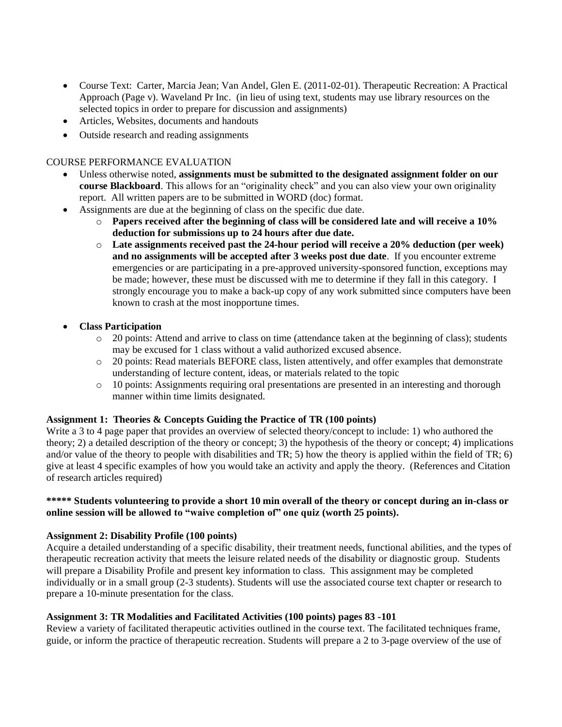- Course Text: Carter, Marcia Jean; Van Andel, Glen E. (2011-02-01). Therapeutic Recreation: A Practical Approach (Page v). Waveland Pr Inc. (in lieu of using text, students may use library resources on the selected topics in order to prepare for discussion and assignments)
- Articles, Websites, documents and handouts
- Outside research and reading assignments

## COURSE PERFORMANCE EVALUATION

- Unless otherwise noted, **assignments must be submitted to the designated assignment folder on our course Blackboard**. This allows for an "originality check" and you can also view your own originality report. All written papers are to be submitted in WORD (doc) format.
- Assignments are due at the beginning of class on the specific due date.
	- o **Papers received after the beginning of class will be considered late and will receive a 10% deduction for submissions up to 24 hours after due date.**
	- o **Late assignments received past the 24-hour period will receive a 20% deduction (per week) and no assignments will be accepted after 3 weeks post due date**. If you encounter extreme emergencies or are participating in a pre-approved university-sponsored function, exceptions may be made; however, these must be discussed with me to determine if they fall in this category. I strongly encourage you to make a back-up copy of any work submitted since computers have been known to crash at the most inopportune times.
- **Class Participation** 
	- o 20 points: Attend and arrive to class on time (attendance taken at the beginning of class); students may be excused for 1 class without a valid authorized excused absence.
	- o 20 points: Read materials BEFORE class, listen attentively, and offer examples that demonstrate understanding of lecture content, ideas, or materials related to the topic
	- o 10 points: Assignments requiring oral presentations are presented in an interesting and thorough manner within time limits designated.

### **Assignment 1: Theories & Concepts Guiding the Practice of TR (100 points)**

Write a 3 to 4 page paper that provides an overview of selected theory/concept to include: 1) who authored the theory; 2) a detailed description of the theory or concept; 3) the hypothesis of the theory or concept; 4) implications and/or value of the theory to people with disabilities and TR; 5) how the theory is applied within the field of TR; 6) give at least 4 specific examples of how you would take an activity and apply the theory. (References and Citation of research articles required)

### **\*\*\*\*\* Students volunteering to provide a short 10 min overall of the theory or concept during an in-class or online session will be allowed to "waive completion of" one quiz (worth 25 points).**

### **Assignment 2: Disability Profile (100 points)**

Acquire a detailed understanding of a specific disability, their treatment needs, functional abilities, and the types of therapeutic recreation activity that meets the leisure related needs of the disability or diagnostic group. Students will prepare a Disability Profile and present key information to class. This assignment may be completed individually or in a small group (2-3 students). Students will use the associated course text chapter or research to prepare a 10-minute presentation for the class.

### **Assignment 3: TR Modalities and Facilitated Activities (100 points) pages 83 -101**

Review a variety of facilitated therapeutic activities outlined in the course text. The facilitated techniques frame, guide, or inform the practice of therapeutic recreation. Students will prepare a 2 to 3-page overview of the use of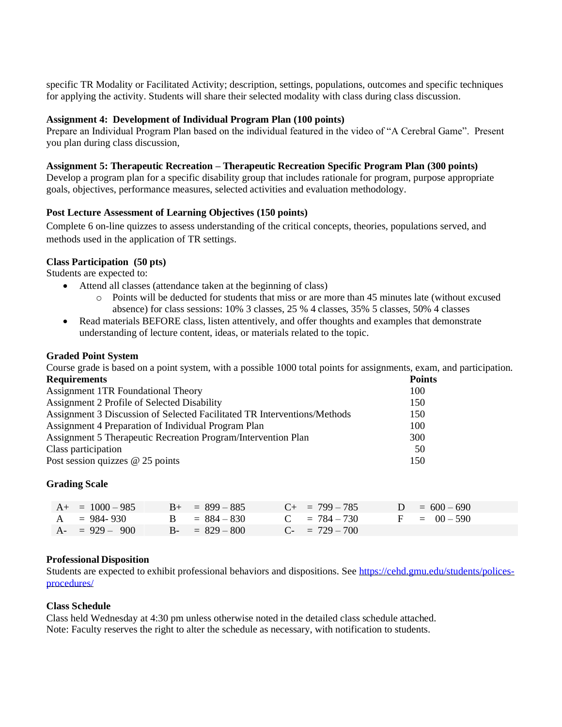specific TR Modality or Facilitated Activity; description, settings, populations, outcomes and specific techniques for applying the activity. Students will share their selected modality with class during class discussion.

#### **Assignment 4: Development of Individual Program Plan (100 points)**

Prepare an Individual Program Plan based on the individual featured in the video of "A Cerebral Game". Present you plan during class discussion,

### **Assignment 5: Therapeutic Recreation – Therapeutic Recreation Specific Program Plan (300 points)**

Develop a program plan for a specific disability group that includes rationale for program, purpose appropriate goals, objectives, performance measures, selected activities and evaluation methodology.

### **Post Lecture Assessment of Learning Objectives (150 points)**

Complete 6 on-line quizzes to assess understanding of the critical concepts, theories, populations served, and methods used in the application of TR settings.

### **Class Participation (50 pts)**

Students are expected to:

- Attend all classes (attendance taken at the beginning of class)
	- o Points will be deducted for students that miss or are more than 45 minutes late (without excused absence) for class sessions: 10% 3 classes, 25 % 4 classes, 35% 5 classes, 50% 4 classes
- Read materials BEFORE class, listen attentively, and offer thoughts and examples that demonstrate understanding of lecture content, ideas, or materials related to the topic.

#### **Graded Point System**

Course grade is based on a point system, with a possible 1000 total points for assignments, exam, and participation. **Requirements Points**

| .          |
|------------|
| 100        |
| 150        |
| 150        |
| 100        |
| <b>300</b> |
| 50         |
| 150        |
|            |

### **Grading Scale**

| $A_{+} = 1000 - 985$ | $B_{+} = 899 - 885$ | $C_{+}$ = 799 – 785 | $D = 600 - 690$ |
|----------------------|---------------------|---------------------|-----------------|
| $A = 984 - 930$      | $B = 884 - 830$     | $C = 784 - 730$     | $F = 00 - 590$  |
| $A- = 929 - 900$     | $B - = 829 - 800$   | $C_{-}$ = 729 – 700 |                 |

### **Professional Disposition**

Students are expected to exhibit professional behaviors and dispositions. See [https://cehd.gmu.edu/students/polices](https://cehd.gmu.edu/students/polices-procedures/)[procedures/](https://cehd.gmu.edu/students/polices-procedures/)

#### **Class Schedule**

Class held Wednesday at 4:30 pm unless otherwise noted in the detailed class schedule attached. Note: Faculty reserves the right to alter the schedule as necessary, with notification to students.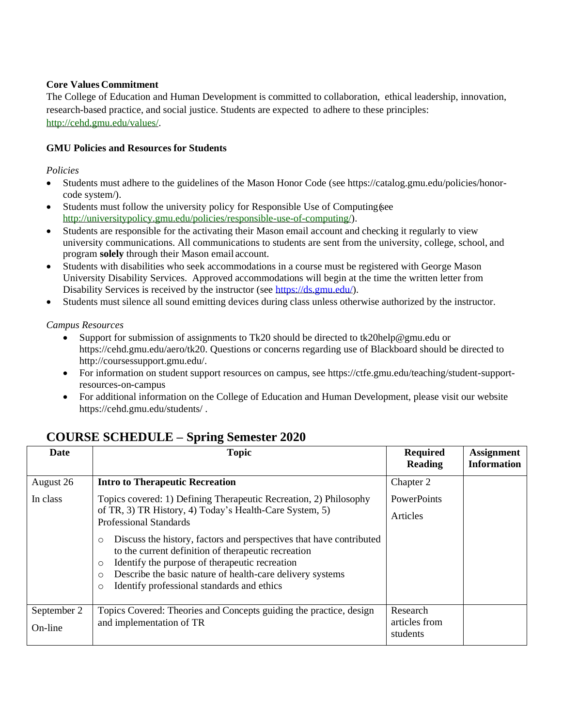# **Core Values Commitment**

The College of Education and Human Development is committed to collaboration, ethical leadership, innovation, research-based practice, and social justice. Students are expected to adhere to these principles: [http://cehd.gmu.edu/values/.](http://cehd.gmu.edu/values/)

# **GMU Policies and Resources for Students**

### *Policies*

- Students must adhere to the guidelines of the Mason Honor Code (see https://catalog.gmu.edu/policies/honorcode system/).
- Students must follow the university policy for Responsible Use of Computing (see [http://universitypolicy.gmu.edu/policies/responsible-use-of-computing/\)](http://universitypolicy.gmu.edu/policies/responsible-use-of-computing/).
- Students are responsible for the activating their Mason email account and checking it regularly to view university communications. All communications to students are sent from the university, college, school, and program **solely** through their Mason email account.
- Students with disabilities who seek accommodations in a course must be registered with George Mason University Disability Services. Approved accommodations will begin at the time the written letter from Disability Services is received by the instructor (see [https://ds.gmu.edu/\)](https://ds.gmu.edu/).
- Students must silence all sound emitting devices during class unless otherwise authorized by the instructor.

## *Campus Resources*

- Support for submission of assignments to Tk20 should be directed to tk20help@gmu.edu or https://cehd.gmu.edu/aero/tk20. Questions or concerns regarding use of Blackboard should be directed to http://coursessupport.gmu.edu/.
- For information on student support resources on campus, see https://ctfe.gmu.edu/teaching/student-supportresources-on-campus
- For additional information on the College of Education and Human Development, please visit our website https://cehd.gmu.edu/students/ .

| Date        | <b>Topic</b>                                                                                                                          | <b>Required</b><br><b>Reading</b> | <b>Assignment</b><br><b>Information</b> |
|-------------|---------------------------------------------------------------------------------------------------------------------------------------|-----------------------------------|-----------------------------------------|
| August 26   | <b>Intro to Therapeutic Recreation</b>                                                                                                | Chapter 2                         |                                         |
| In class    | Topics covered: 1) Defining Therapeutic Recreation, 2) Philosophy                                                                     | PowerPoints                       |                                         |
|             | of TR, 3) TR History, 4) Today's Health-Care System, 5)<br><b>Professional Standards</b>                                              | Articles                          |                                         |
|             | Discuss the history, factors and perspectives that have contributed<br>$\circ$<br>to the current definition of therapeutic recreation |                                   |                                         |
|             | Identify the purpose of therapeutic recreation<br>$\circ$<br>Describe the basic nature of health-care delivery systems<br>$\circ$     |                                   |                                         |
|             | Identify professional standards and ethics<br>$\circ$                                                                                 |                                   |                                         |
| September 2 | Topics Covered: Theories and Concepts guiding the practice, design                                                                    | Research                          |                                         |
| On-line     | and implementation of TR                                                                                                              | articles from<br>students         |                                         |

# **COURSE SCHEDULE – Spring Semester 2020**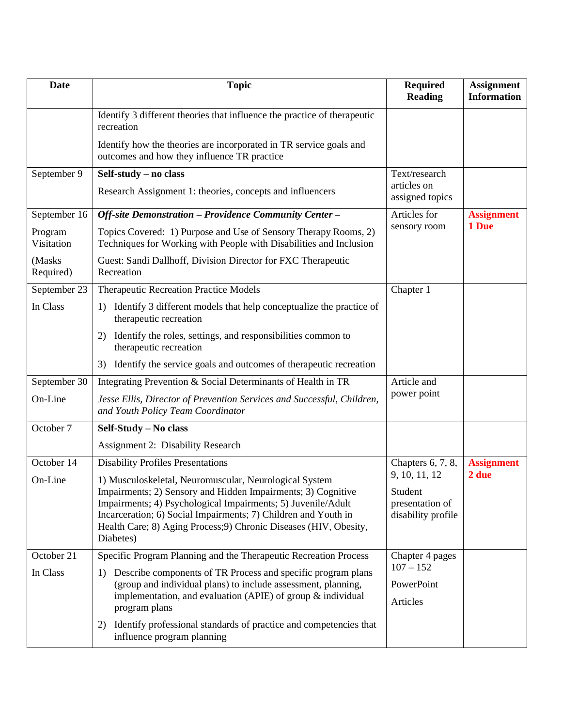| <b>Date</b>           | <b>Topic</b>                                                                                                                                     | <b>Required</b><br><b>Reading</b> | <b>Assignment</b><br><b>Information</b> |
|-----------------------|--------------------------------------------------------------------------------------------------------------------------------------------------|-----------------------------------|-----------------------------------------|
|                       | Identify 3 different theories that influence the practice of therapeutic<br>recreation                                                           |                                   |                                         |
|                       | Identify how the theories are incorporated in TR service goals and<br>outcomes and how they influence TR practice                                |                                   |                                         |
| September 9           | Self-study - no class                                                                                                                            | Text/research                     |                                         |
|                       | Research Assignment 1: theories, concepts and influencers                                                                                        | articles on<br>assigned topics    |                                         |
| September 16          | Off-site Demonstration - Providence Community Center -                                                                                           | Articles for                      | <b>Assignment</b>                       |
| Program<br>Visitation | Topics Covered: 1) Purpose and Use of Sensory Therapy Rooms, 2)<br>Techniques for Working with People with Disabilities and Inclusion            | sensory room                      | 1 Due                                   |
| (Masks<br>Required)   | Guest: Sandi Dallhoff, Division Director for FXC Therapeutic<br>Recreation                                                                       |                                   |                                         |
| September 23          | <b>Therapeutic Recreation Practice Models</b>                                                                                                    | Chapter 1                         |                                         |
| In Class              | Identify 3 different models that help conceptualize the practice of<br>$\mathbf{D}$<br>therapeutic recreation                                    |                                   |                                         |
|                       | Identify the roles, settings, and responsibilities common to<br>2)<br>therapeutic recreation                                                     |                                   |                                         |
|                       | Identify the service goals and outcomes of therapeutic recreation<br>3)                                                                          |                                   |                                         |
| September 30          | Integrating Prevention & Social Determinants of Health in TR                                                                                     | Article and                       |                                         |
| On-Line               | Jesse Ellis, Director of Prevention Services and Successful, Children,<br>and Youth Policy Team Coordinator                                      | power point                       |                                         |
| October 7             | Self-Study - No class                                                                                                                            |                                   |                                         |
|                       | <b>Assignment 2: Disability Research</b>                                                                                                         |                                   |                                         |
| October 14            | <b>Disability Profiles Presentations</b>                                                                                                         | Chapters $6, 7, 8$ ,              | <b>Assignment</b>                       |
| On-Line               | 1) Musculoskeletal, Neuromuscular, Neurological System                                                                                           | 9, 10, 11, 12                     | 2 due                                   |
|                       | Impairments; 2) Sensory and Hidden Impairments; 3) Cognitive<br>Impairments; 4) Psychological Impairments; 5) Juvenile/Adult                     | Student<br>presentation of        |                                         |
|                       | Incarceration; 6) Social Impairments; 7) Children and Youth in                                                                                   | disability profile                |                                         |
|                       | Health Care; 8) Aging Process; 9) Chronic Diseases (HIV, Obesity,<br>Diabetes)                                                                   |                                   |                                         |
| October 21            | Specific Program Planning and the Therapeutic Recreation Process                                                                                 | Chapter 4 pages                   |                                         |
| In Class              | Describe components of TR Process and specific program plans<br>1)                                                                               | $107 - 152$                       |                                         |
|                       | (group and individual plans) to include assessment, planning,<br>implementation, and evaluation (APIE) of group $\&$ individual<br>program plans | PowerPoint<br>Articles            |                                         |
|                       | Identify professional standards of practice and competencies that<br>2)<br>influence program planning                                            |                                   |                                         |